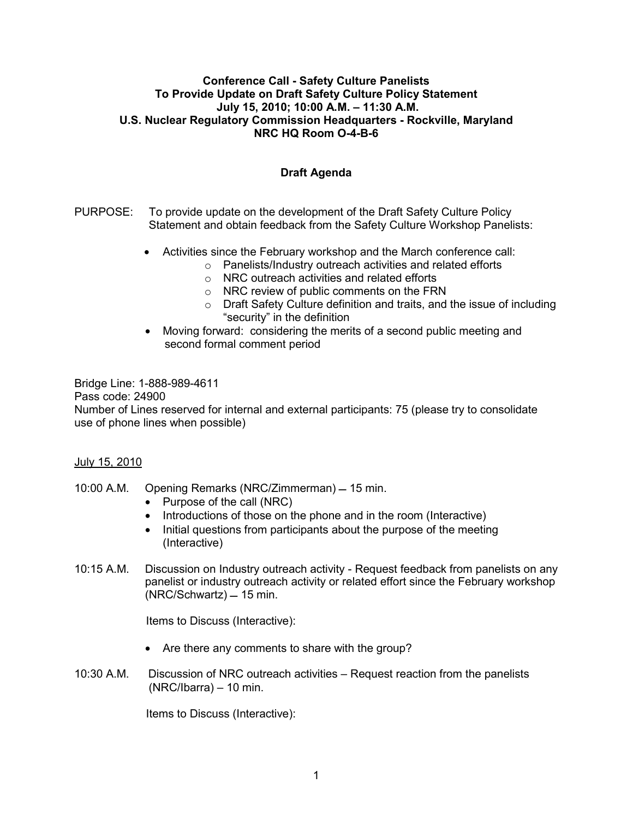## **Conference Call - Safety Culture Panelists To Provide Update on Draft Safety Culture Policy Statement July 15, 2010; 10:00 A.M. – 11:30 A.M. U.S. Nuclear Regulatory Commission Headquarters - Rockville, Maryland NRC HQ Room O-4-B-6**

## **Draft Agenda**

- PURPOSE: To provide update on the development of the Draft Safety Culture Policy Statement and obtain feedback from the Safety Culture Workshop Panelists:
	- Activities since the February workshop and the March conference call:
		- o Panelists/Industry outreach activities and related efforts
		- o NRC outreach activities and related efforts
		- o NRC review of public comments on the FRN
		- o Draft Safety Culture definition and traits, and the issue of including "security" in the definition
	- Moving forward: considering the merits of a second public meeting and second formal comment period

Bridge Line: 1-888-989-4611 Pass code: 24900 Number of Lines reserved for internal and external participants: 75 (please try to consolidate use of phone lines when possible)

## July 15, 2010

- 10:00 A.M. Opening Remarks (NRC/Zimmerman) 15 min.
	- Purpose of the call (NRC)
	- Introductions of those on the phone and in the room (Interactive)
	- Initial questions from participants about the purpose of the meeting (Interactive)
- 10:15 A.M. Discussion on Industry outreach activity Request feedback from panelists on any panelist or industry outreach activity or related effort since the February workshop  $(NRC/Schwartz) = 15$  min.

Items to Discuss (Interactive):

- Are there any comments to share with the group?
- 10:30 A.M. Discussion of NRC outreach activities Request reaction from the panelists (NRC/Ibarra) – 10 min.

Items to Discuss (Interactive):